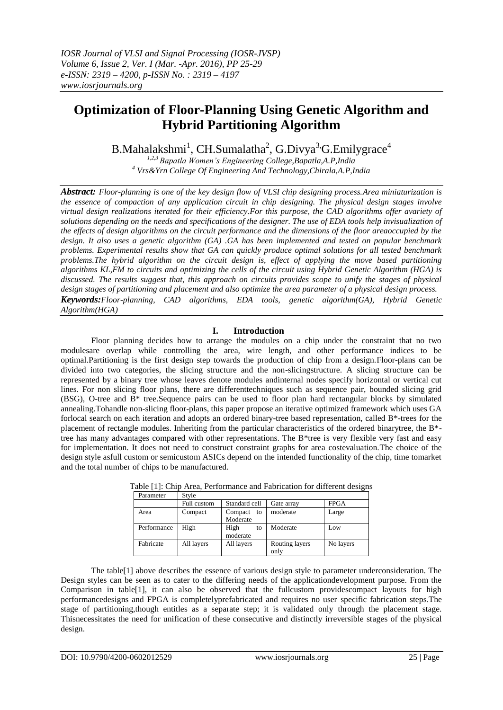# **Optimization of Floor-Planning Using Genetic Algorithm and Hybrid Partitioning Algorithm**

B.Mahalakshmi<sup>1</sup>, CH.Sumalatha<sup>2</sup>, G.Divya<sup>3,</sup>G.Emilygrace<sup>4</sup>

*1,2,3 Bapatla Women's Engineering College,Bapatla,A.P,India <sup>4</sup> Vrs&Yrn College Of Engineering And Technology,Chirala,A.P,India*

*Abstract: Floor-planning is one of the key design flow of VLSI chip designing process.Area miniaturization is the essence of compaction of any application circuit in chip designing. The physical design stages involve virtual design realizations iterated for their efficiency.For this purpose, the CAD algorithms offer avariety of solutions depending on the needs and specifications of the designer. The use of EDA tools help invisualization of the effects of design algorithms on the circuit performance and the dimensions of the floor areaoccupied by the design. It also uses a genetic algorithm (GA) .GA has been implemented and tested on popular benchmark problems. Experimental results show that GA can quickly produce optimal solutions for all tested benchmark problems.The hybrid algorithm on the circuit design is, effect of applying the move based partitioning algorithms KL,FM to circuits and optimizing the cells of the circuit using Hybrid Genetic Algorithm (HGA) is discussed. The results suggest that, this approach on circuits provides scope to unify the stages of physical design stages of partitioning and placement and also optimize the area parameter of a physical design process. Keywords:Floor-planning, CAD algorithms, EDA tools, genetic algorithm(GA), Hybrid Genetic Algorithm(HGA)*

### **I. Introduction**

Floor planning decides how to arrange the modules on a chip under the constraint that no two modulesare overlap while controlling the area, wire length, and other performance indices to be optimal.Partitioning is the first design step towards the production of chip from a design.Floor-plans can be divided into two categories, the slicing structure and the non-slicingstructure. A slicing structure can be represented by a binary tree whose leaves denote modules andinternal nodes specify horizontal or vertical cut lines. For non slicing floor plans, there are differenttechniques such as sequence pair, bounded slicing grid (BSG), O-tree and B\* tree.Sequence pairs can be used to floor plan hard rectangular blocks by simulated annealing.Tohandle non-slicing floor-plans, this paper propose an iterative optimized framework which uses GA forlocal search on each iteration and adopts an ordered binary-tree based representation, called B\*-trees for the placement of rectangle modules. Inheriting from the particular characteristics of the ordered binarytree, the B\* tree has many advantages compared with other representations. The B\*tree is very flexible very fast and easy for implementation. It does not need to construct constraint graphs for area costevaluation.The choice of the design style asfull custom or semicustom ASICs depend on the intended functionality of the chip, time tomarket and the total number of chips to be manufactured.

| Parameter   | Style       |                           |                        |             |
|-------------|-------------|---------------------------|------------------------|-------------|
|             | Full custom | Standard cell             | Gate array             | <b>FPGA</b> |
| Area        | Compact     | Compact<br>to<br>Moderate | moderate               | Large       |
| Performance | High        | High<br>to<br>moderate    | Moderate               | Low         |
| Fabricate   | All layers  | All layers                | Routing layers<br>only | No layers   |

Table [1]: Chip Area, Performance and Fabrication for different designs

The table[1] above describes the essence of various design style to parameter underconsideration. The Design styles can be seen as to cater to the differing needs of the applicationdevelopment purpose. From the Comparison in table[1], it can also be observed that the fullcustom providescompact layouts for high performancedesigns and FPGA is completelyprefabricated and requires no user specific fabrication steps.The stage of partitioning,though entitles as a separate step; it is validated only through the placement stage. Thisnecessitates the need for unification of these consecutive and distinctly irreversible stages of the physical design.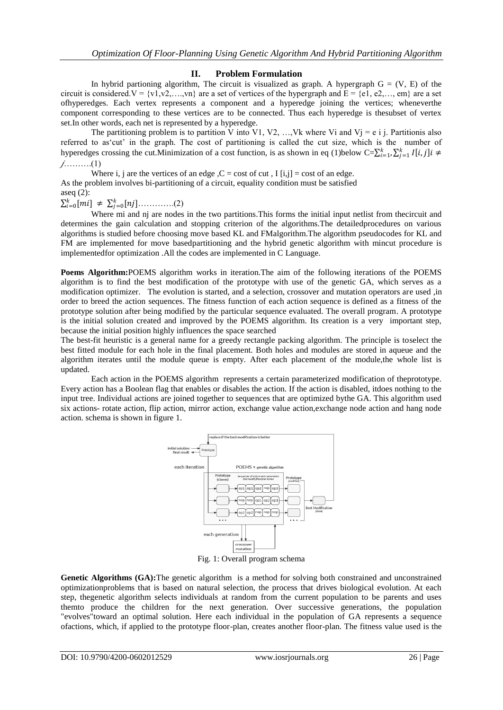#### **II. Problem Formulation**

In hybrid partioning algorithm, The circuit is visualized as graph. A hypergraph  $G = (V, E)$  of the circuit is considered.  $V = \{v1, v2, \dots, vn\}$  are a set of vertices of the hypergraph and  $E = \{e1, e2, \dots, em\}$  are a set ofhyperedges. Each vertex represents a component and a hyperedge joining the vertices; wheneverthe component corresponding to these vertices are to be connected. Thus each hyperedge is thesubset of vertex set.In other words, each net is represented by a hyperedge.

The partitioning problem is to partition V into V1, V2, ..., Vk where Vi and Vj = e i j. Partitionis also referred to as'cut' in the graph. The cost of partitioning is called the cut size, which is the number of hyperedges crossing the cut. Minimization of a cost function, is as shown in eq (1)below  $C=\sum_{i=1}^{k} \sum_{j=1}^{k} I[i,j]i \neq$ ……….(1)

Where i, j are the vertices of an edge,  $C = \text{cost of cut}$ ,  $I[i,j] = \text{cost of an edge}$ . As the problem involves bi-partitioning of a circuit, equality condition must be satisfied aseq (2):

 $\sum_{i=0}^{k}[mi] \neq \sum_{j=0}^{k}[nj]$ ............(2)

Where mi and nj are nodes in the two partitions.This forms the initial input netlist from thecircuit and determines the gain calculation and stopping criterion of the algorithms.The detailedprocedures on various algorithms is studied before choosing move based KL and FMalgorithm.The algorithm pseudocodes for KL and FM are implemented for move basedpartitioning and the hybrid genetic algorithm with mincut procedure is implementedfor optimization .All the codes are implemented in C Language.

**Poems Algorithm:**POEMS algorithm works in iteration.The aim of the following iterations of the POEMS algorithm is to find the best modification of the prototype with use of the genetic GA, which serves as a modification optimizer. The evolution is started, and a selection, crossover and mutation operators are used ,in order to breed the action sequences. The fitness function of each action sequence is defined as a fitness of the prototype solution after being modified by the particular sequence evaluated. The overall program. A prototype is the initial solution created and improved by the POEMS algorithm. Its creation is a very important step, because the initial position highly influences the space searched

The best-fit heuristic is a general name for a greedy rectangle packing algorithm. The principle is toselect the best fitted module for each hole in the final placement. Both holes and modules are stored in aqueue and the algorithm iterates until the module queue is empty. After each placement of the module,the whole list is updated.

Each action in the POEMS algorithm represents a certain parameterized modification of theprototype. Every action has a Boolean flag that enables or disables the action. If the action is disabled, itdoes nothing to the input tree. Individual actions are joined together to sequences that are optimized bythe GA. This algorithm used six actions- rotate action, flip action, mirror action, exchange value action,exchange node action and hang node action. schema is shown in figure 1.



Fig. 1: Overall program schema

Genetic Algorithms (GA): The genetic algorithm is a method for solving both constrained and unconstrained optimizationproblems that is based on natural selection, the process that drives biological evolution. At each step, thegenetic algorithm selects individuals at random from the current population to be parents and uses themto produce the children for the next generation. Over successive generations, the population "evolves"toward an optimal solution. Here each individual in the population of GA represents a sequence ofactions, which, if applied to the prototype floor-plan, creates another floor-plan. The fitness value used is the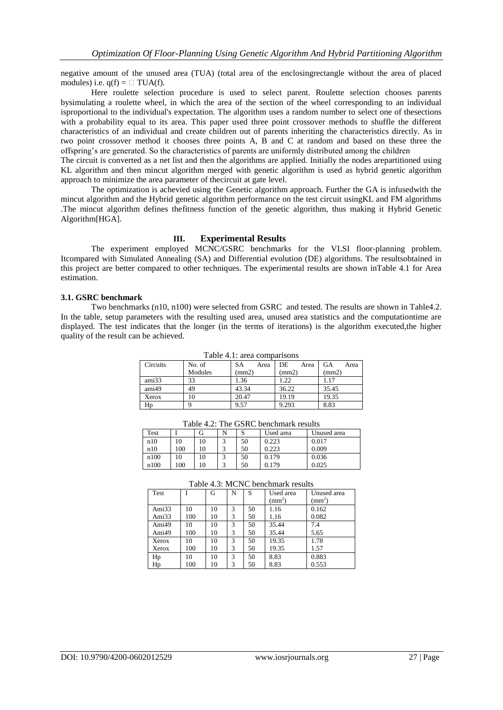negative amount of the unused area (TUA) (total area of the enclosingrectangle without the area of placed modules) i.e.  $q(f) = \Box TUA(f)$ .

Here roulette selection procedure is used to select parent. Roulette selection chooses parents bysimulating a roulette wheel, in which the area of the section of the wheel corresponding to an individual isproportional to the individual's expectation. The algorithm uses a random number to select one of thesections with a probability equal to its area. This paper used three point crossover methods to shuffle the different characteristics of an individual and create children out of parents inheriting the characteristics directly. As in two point crossover method it chooses three points A, B and C at random and based on these three the offspring"s are generated. So the characteristics of parents are uniformly distributed among the children

The circuit is converted as a net list and then the algorithms are applied. Initially the nodes arepartitioned using KL algorithm and then mincut algorithm merged with genetic algorithm is used as hybrid genetic algorithm approach to minimize the area parameter of thecircuit at gate level.

The optimization is achevied using the Genetic algorithm approach. Further the GA is infusedwith the mincut algorithm and the Hybrid genetic algorithm performance on the test circuit usingKL and FM algorithms .The mincut algorithm defines thefitness function of the genetic algorithm, thus making it Hybrid Genetic Algorithm[HGA].

#### **III. Experimental Results**

The experiment employed MCNC/GSRC benchmarks for the VLSI floor-planning problem. Itcompared with Simulated Annealing (SA) and Differential evolution (DE) algorithms. The resultsobtained in this project are better compared to other techniques. The experimental results are shown inTable 4.1 for Area estimation.

#### **3.1. GSRC benchmark**

Two benchmarks (n10, n100) were selected from GSRC and tested. The results are shown in Table4.2. In the table, setup parameters with the resulting used area, unused area statistics and the computationtime are displayed. The test indicates that the longer (in the terms of iterations) is the algorithm executed,the higher quality of the result can be achieved.

|          |         | Tuoto 1.1. urga companyong |            |            |
|----------|---------|----------------------------|------------|------------|
| Circuits | No. of  | SА<br>Area                 | DE<br>Area | GА<br>Area |
|          | Modules | (mm2)                      | (mm2)      | (mm2)      |
| ami33    | 33      | 1.36                       | 1.22       |            |
| ami49    | 49      | 43.34                      | 36.22      | 35.45      |
| Xerox    |         | 20.47                      | 19.19      | 19.35      |
| Hp       |         | 9.57                       | 9.293      | 8.83       |

Table 4.1: area comparisons

| Table 4.2: The GSRC benchmark results |  |
|---------------------------------------|--|
|---------------------------------------|--|

| Test |     | Lτ | N | $\sim$<br>C | Used area | Unused area |
|------|-----|----|---|-------------|-----------|-------------|
| n10  | 10  | 10 |   | 50          | 0.223     | 0.017       |
| n10  | 100 | 10 |   | 50          | 0.223     | 0.009       |
| n100 | 10  | 10 |   | 50          | 0.179     | 0.036       |
| n100 | 100 |    |   | 50          | 0.179     | 0.025       |

| Test  |     | G  | N | S  | Used area    | Unused area  |
|-------|-----|----|---|----|--------------|--------------|
|       |     |    |   |    | $\text{m}^2$ | $\text{m}^2$ |
| Ami33 | 10  | 10 | 3 | 50 | 1.16         | 0.162        |
| Ami33 | 100 | 10 | 3 | 50 | 1.16         | 0.082        |
| Ami49 | 10  | 10 | 3 | 50 | 35.44        | 7.4          |
| Ami49 | 100 | 10 | 3 | 50 | 35.44        | 5.65         |
| Xerox | 10  | 10 | 3 | 50 | 19.35        | 1.78         |
| Xerox | 100 | 10 | 3 | 50 | 19.35        | 1.57         |
| Hp    | 10  | 10 | 3 | 50 | 8.83         | 0.883        |
| Hp    | 100 | 10 | 3 | 50 | 8.83         | 0.553        |

#### Table 4.3: MCNC benchmark results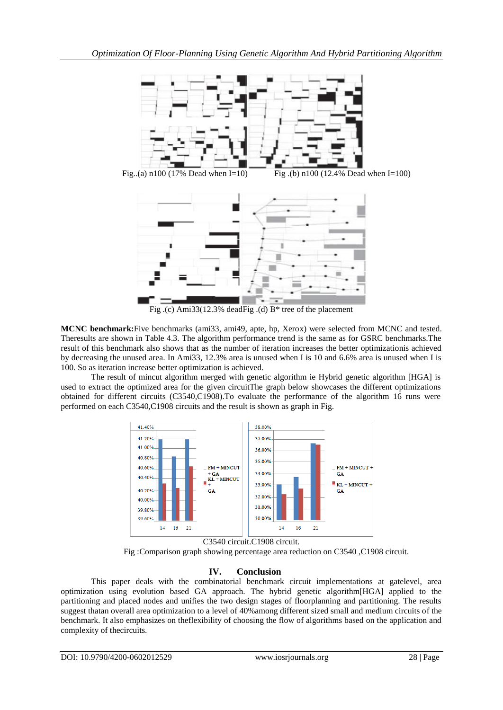

Fig. (c) Ami33(12.3% deadFig. (d)  $B^*$  tree of the placement

**MCNC benchmark:**Five benchmarks (ami33, ami49, apte, hp, Xerox) were selected from MCNC and tested. Theresults are shown in Table 4.3. The algorithm performance trend is the same as for GSRC benchmarks.The result of this benchmark also shows that as the number of iteration increases the better optimizationis achieved by decreasing the unused area. In Ami33, 12.3% area is unused when I is 10 and 6.6% area is unused when I is 100. So as iteration increase better optimization is achieved.

The result of mincut algorithm merged with genetic algorithm ie Hybrid genetic algorithm [HGA] is used to extract the optimized area for the given circuitThe graph below showcases the different optimizations obtained for different circuits (C3540,C1908).To evaluate the performance of the algorithm 16 runs were performed on each C3540,C1908 circuits and the result is shown as graph in Fig.



C3540 circuit.C1908 circuit. Fig :Comparison graph showing percentage area reduction on C3540 ,C1908 circuit.

## **IV. Conclusion**

This paper deals with the combinatorial benchmark circuit implementations at gatelevel, area optimization using evolution based GA approach. The hybrid genetic algorithm[HGA] applied to the partitioning and placed nodes and unifies the two design stages of floorplanning and partitioning. The results suggest thatan overall area optimization to a level of 40%among different sized small and medium circuits of the benchmark. It also emphasizes on theflexibility of choosing the flow of algorithms based on the application and complexity of thecircuits.